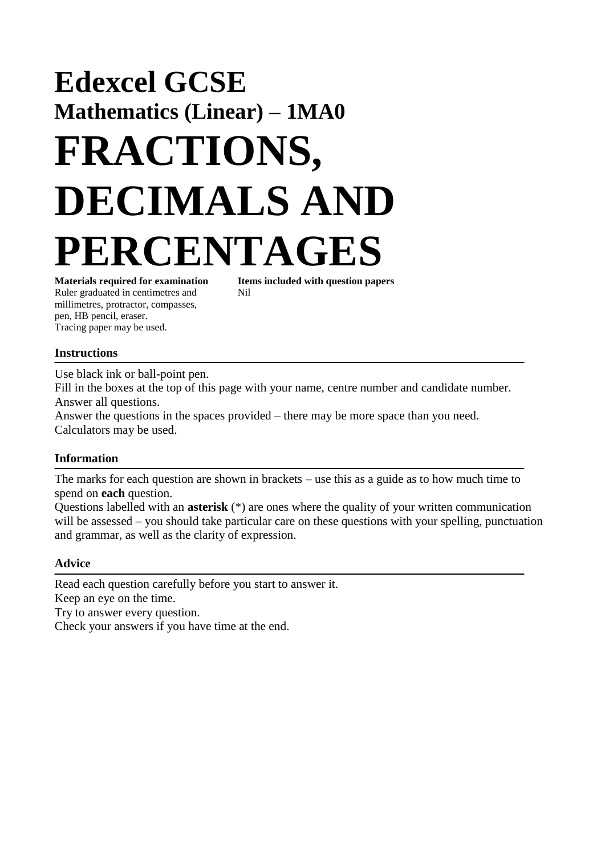# **Edexcel GCSE Mathematics (Linear) – 1MA0 FRACTIONS, DECIMALS AND PERCENTAGES**

Ruler graduated in centimetres and Nil millimetres, protractor, compasses, pen, HB pencil, eraser. Tracing paper may be used.

**Materials required for examination Items included with question papers**

### **Instructions**

Use black ink or ball-point pen. Fill in the boxes at the top of this page with your name, centre number and candidate number. Answer all questions.

Answer the questions in the spaces provided – there may be more space than you need. Calculators may be used.

#### **Information**

The marks for each question are shown in brackets – use this as a guide as to how much time to spend on **each** question.

Questions labelled with an **asterisk** (\*) are ones where the quality of your written communication will be assessed – you should take particular care on these questions with your spelling, punctuation and grammar, as well as the clarity of expression.

#### **Advice**

Read each question carefully before you start to answer it. Keep an eye on the time.

Try to answer every question.

Check your answers if you have time at the end.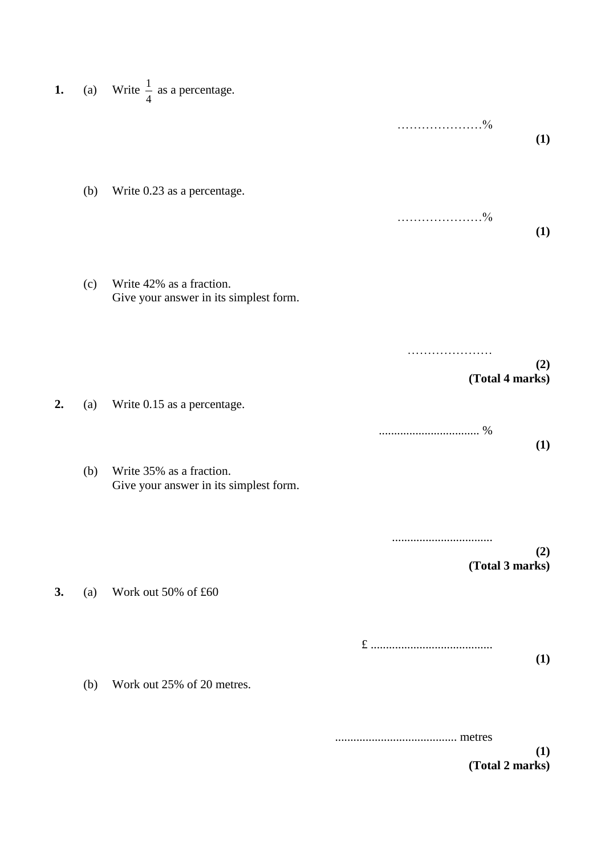| 1. |     | (a) Write $\frac{1}{4}$ as a percentage.                           |                        |
|----|-----|--------------------------------------------------------------------|------------------------|
|    |     |                                                                    | (1)                    |
|    | (b) | Write 0.23 as a percentage.                                        |                        |
|    | (c) | Write 42% as a fraction.<br>Give your answer in its simplest form. | (1)                    |
|    |     |                                                                    | (2)                    |
| 2. | (a) | Write 0.15 as a percentage.                                        | (Total 4 marks)        |
|    | (b) | Write 35% as a fraction.<br>Give your answer in its simplest form. | (1)                    |
|    |     |                                                                    | (2)<br>(Total 3 marks) |
| 3. | (a) | Work out 50% of £60                                                |                        |
|    | (b) | Work out 25% of 20 metres.                                         | (1)                    |
|    |     |                                                                    | (1)<br>(Total 2 marks) |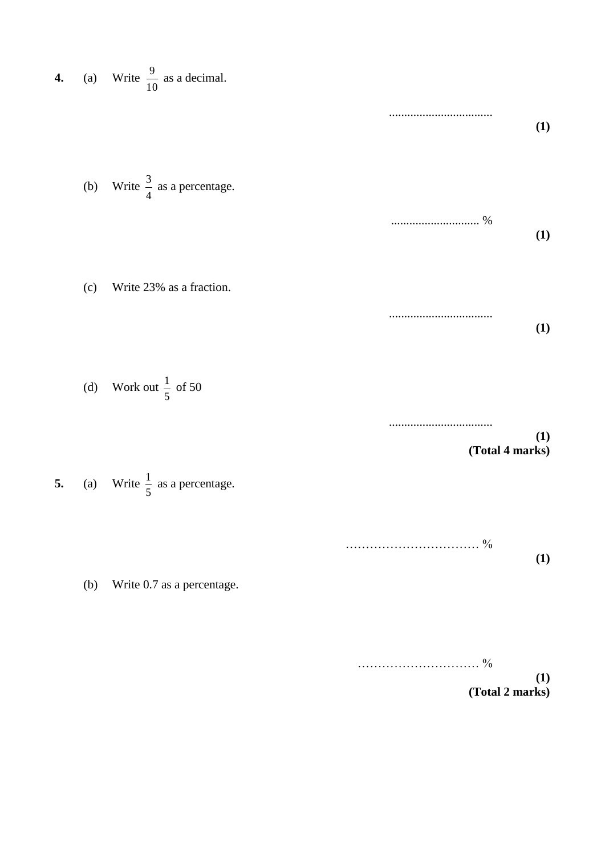| 4. |     | (a) Write $\frac{9}{10}$ as a decimal.   |                        |
|----|-----|------------------------------------------|------------------------|
|    |     |                                          | (1)                    |
|    | (b) | Write $\frac{3}{4}$ as a percentage.     | %<br>(1)               |
|    | (c) | Write 23% as a fraction.                 |                        |
|    | (d) | Work out $\frac{1}{5}$ of 50             | (1)                    |
|    |     |                                          | (1)<br>(Total 4 marks) |
| 5. |     | (a) Write $\frac{1}{5}$ as a percentage. |                        |
|    | (b) | Write 0.7 as a percentage.               | <b>(1)</b>             |
|    |     |                                          |                        |

|  | 70 |
|--|----|
|--|----|

**(1) (Total 2 marks)**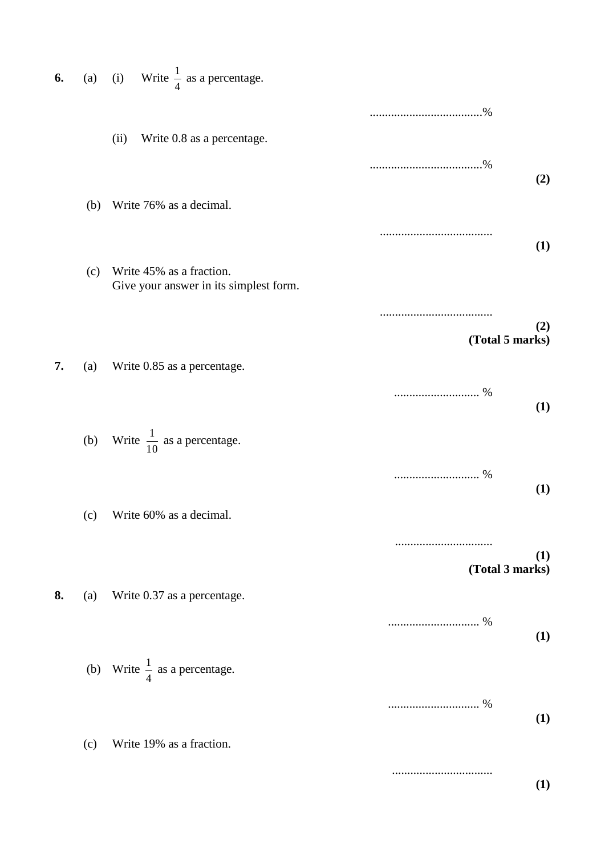| 6. | (a) | Write $\frac{1}{4}$ as a percentage.<br>(i)                        |                        |
|----|-----|--------------------------------------------------------------------|------------------------|
|    |     | Write 0.8 as a percentage.<br>(ii)                                 |                        |
|    |     |                                                                    | (2)                    |
|    | (b) | Write 76% as a decimal.                                            | (1)                    |
|    | (c) | Write 45% as a fraction.<br>Give your answer in its simplest form. |                        |
|    |     |                                                                    | (2)<br>(Total 5 marks) |
| 7. | (a) | Write 0.85 as a percentage.                                        | (1)                    |
|    |     | (b) Write $\frac{1}{10}$ as a percentage.                          |                        |
|    | (c) | Write 60% as a decimal.                                            | (1)                    |
|    |     |                                                                    | (1)<br>(Total 3 marks) |
| 8. | (a) | Write 0.37 as a percentage.                                        | (1)                    |
|    |     | (b) Write $\frac{1}{4}$ as a percentage.                           |                        |
|    | (c) | Write 19% as a fraction.                                           | (1)                    |
|    |     |                                                                    | (1)                    |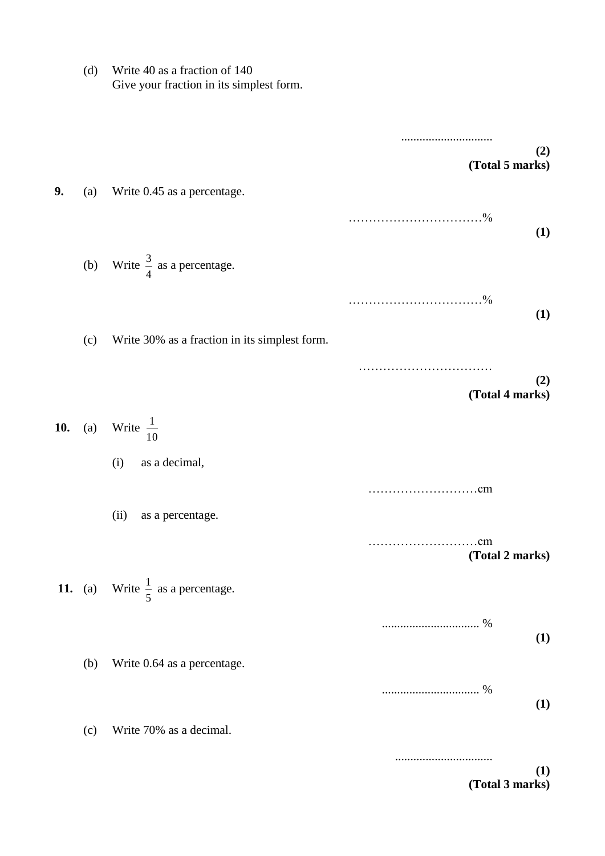(d) Write 40 as a fraction of 140 Give your fraction in its simplest form.

|     |     |                                                     | (2)<br>(Total 5 marks)                  |
|-----|-----|-----------------------------------------------------|-----------------------------------------|
| 9.  | (a) | Write 0.45 as a percentage.                         |                                         |
|     |     |                                                     | (1)                                     |
|     |     | (b) Write $\frac{3}{4}$ as a percentage.            |                                         |
|     |     |                                                     | $\ldots \ldots \frac{0}{0}$<br>.<br>(1) |
|     | (c) | Write 30% as a fraction in its simplest form.       |                                         |
|     |     |                                                     | (2)                                     |
|     |     |                                                     | (Total 4 marks)                         |
| 10. |     | (a) Write $\frac{1}{10}$                            |                                         |
|     |     | as a decimal,<br>(i)                                |                                         |
|     |     |                                                     | .cm                                     |
|     |     | (ii)<br>as a percentage.                            |                                         |
|     |     |                                                     | cm<br>.<br>(Total 2 marks)              |
|     |     | <b>11.</b> (a) Write $\frac{1}{5}$ as a percentage. |                                         |
|     |     |                                                     | (1)                                     |
|     | (b) | Write 0.64 as a percentage.                         |                                         |
|     |     |                                                     | (1)                                     |
|     | (c) | Write 70% as a decimal.                             |                                         |
|     |     |                                                     |                                         |
|     |     |                                                     | (1)<br>(Total 3 marks)                  |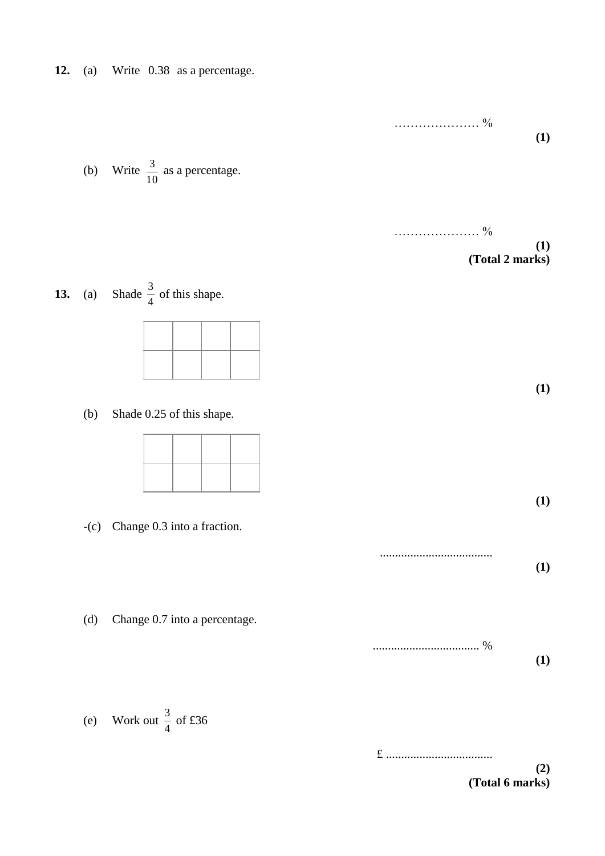|        | (b) Write $\frac{3}{10}$ as a percentage.         | (1)                    |
|--------|---------------------------------------------------|------------------------|
|        | <b>13.</b> (a) Shade $\frac{3}{4}$ of this shape. | (1)<br>(Total 2 marks) |
| (b)    | Shade 0.25 of this shape.                         | (1)                    |
| $-(c)$ | Change 0.3 into a fraction.                       | (1)<br>(1)             |
| (d)    | Change 0.7 into a percentage.                     | (1)                    |

(e) Work out  $\frac{3}{4}$  of £36 3

**12.** (a) Write 0.38 as a percentage.

£ ................................... **(2)**

**(Total 6 marks)**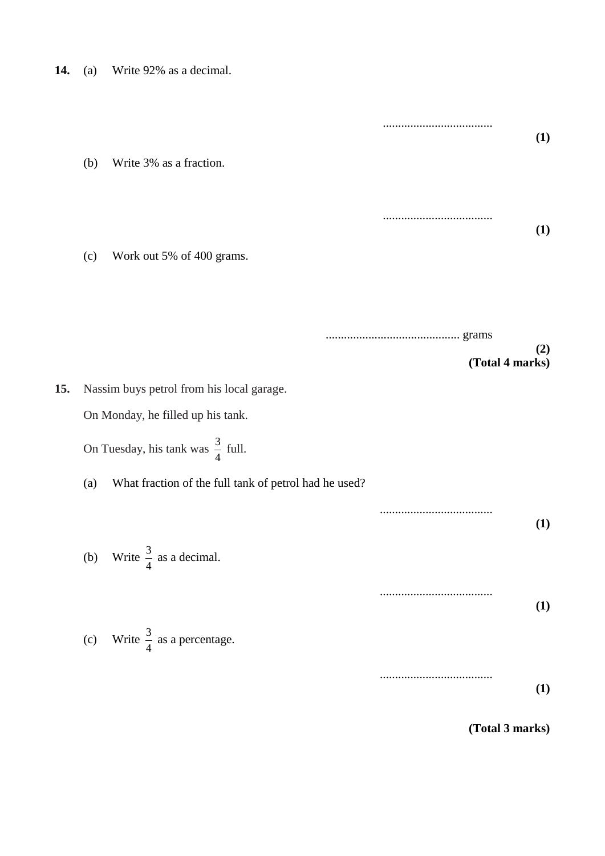| (a) | Write 92% as a decimal. |                                                                                                                                                                                                                                                                                                           |
|-----|-------------------------|-----------------------------------------------------------------------------------------------------------------------------------------------------------------------------------------------------------------------------------------------------------------------------------------------------------|
| (b) | Write 3% as a fraction. | (1)                                                                                                                                                                                                                                                                                                       |
|     |                         | (1)                                                                                                                                                                                                                                                                                                       |
|     |                         | (2)<br>(Total 4 marks)                                                                                                                                                                                                                                                                                    |
|     |                         | (1)                                                                                                                                                                                                                                                                                                       |
|     |                         | (1)                                                                                                                                                                                                                                                                                                       |
|     |                         | (1)<br>(Total 3 marks)                                                                                                                                                                                                                                                                                    |
|     | (c)<br>(a)              | Work out 5% of 400 grams.<br>Nassim buys petrol from his local garage.<br>On Monday, he filled up his tank.<br>On Tuesday, his tank was $\frac{3}{4}$ full.<br>What fraction of the full tank of petrol had he used?<br>(b) Write $\frac{3}{4}$ as a decimal.<br>(c) Write $\frac{3}{4}$ as a percentage. |